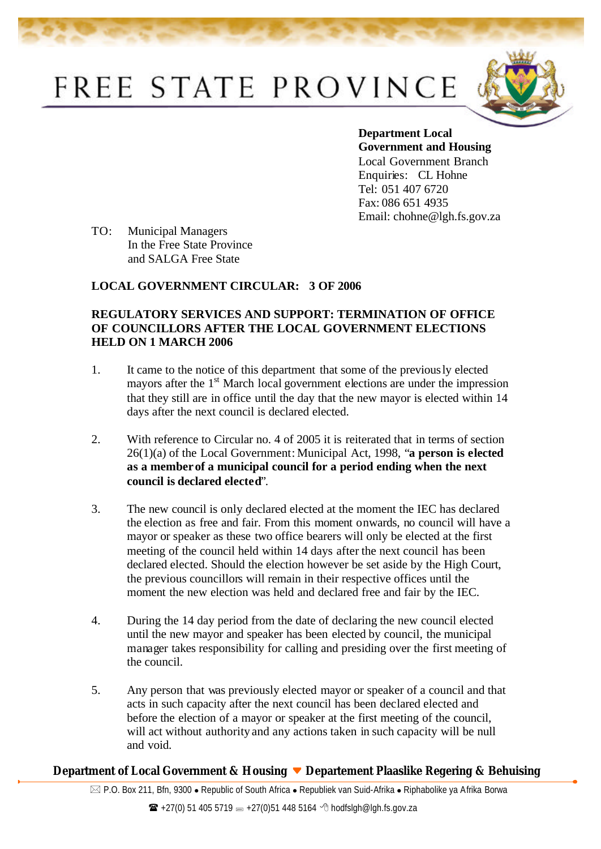## FREE STATE PROVINCE



**Department Local Government and Housing**  Local Government Branch Enquiries: CL Hohne Tel: 051 407 6720 Fax: 086 651 4935 Email: chohne@lgh.fs.gov.za

TO: Municipal Managers In the Free State Province and SALGA Free State

## **LOCAL GOVERNMENT CIRCULAR: 3 OF 2006**

## **REGULATORY SERVICES AND SUPPORT: TERMINATION OF OFFICE OF COUNCILLORS AFTER THE LOCAL GOVERNMENT ELECTIONS HELD ON 1 MARCH 2006**

- 1. It came to the notice of this department that some of the previously elected mayors after the 1<sup>st</sup> March local government elections are under the impression that they still are in office until the day that the new mayor is elected within 14 days after the next council is declared elected.
- 2. With reference to Circular no. 4 of 2005 it is reiterated that in terms of section 26(1)(a) of the Local Government: Municipal Act, 1998, "**a person is elected as a member of a municipal council for a period ending when the next council is declared elected**".
- 3. The new council is only declared elected at the moment the IEC has declared the election as free and fair. From this moment onwards, no council will have a mayor or speaker as these two office bearers will only be elected at the first meeting of the council held within 14 days after the next council has been declared elected. Should the election however be set aside by the High Court, the previous councillors will remain in their respective offices until the moment the new election was held and declared free and fair by the IEC.
- 4. During the 14 day period from the date of declaring the new council elected until the new mayor and speaker has been elected by council, the municipal manager takes responsibility for calling and presiding over the first meeting of the council.
- 5. Any person that was previously elected mayor or speaker of a council and that acts in such capacity after the next council has been declared elected and before the election of a mayor or speaker at the first meeting of the council, will act without authority and any actions taken in such capacity will be null and void.

## **Department of Local Government & Housing Departement Plaaslike Regering & Behuising**

 $\boxtimes$  P.O. Box 211, Bfn, 9300 • Republic of South Africa • Republiek van Suid-Afrika • Riphabolike ya Afrika Borwa